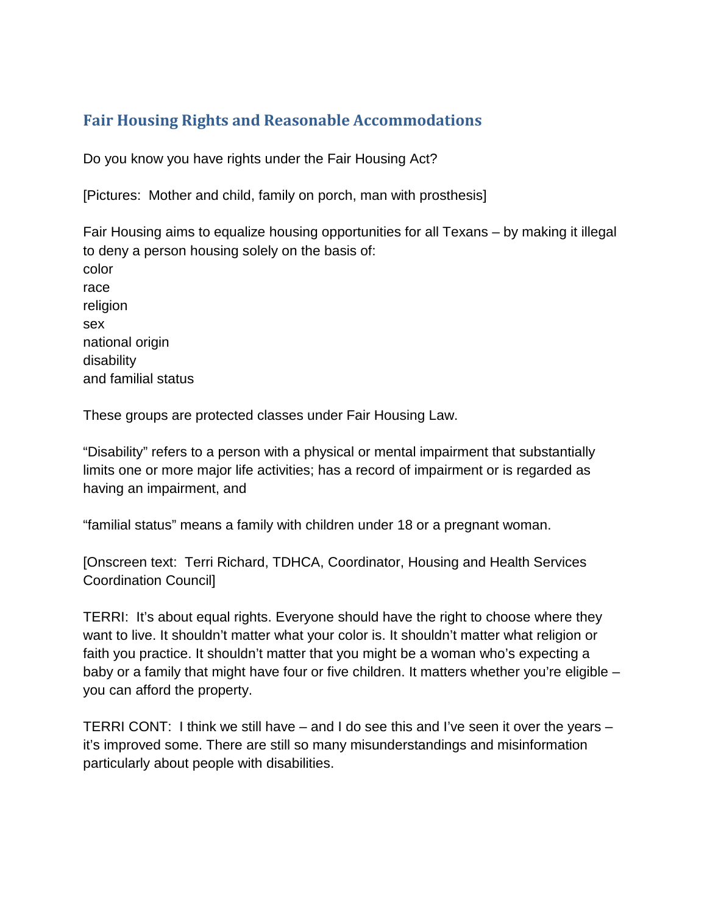## **Fair Housing Rights and Reasonable Accommodations**

Do you know you have rights under the Fair Housing Act?

[Pictures: Mother and child, family on porch, man with prosthesis]

Fair Housing aims to equalize housing opportunities for all Texans – by making it illegal to deny a person housing solely on the basis of: color race religion sex national origin disability and familial status

These groups are protected classes under Fair Housing Law.

"Disability" refers to a person with a physical or mental impairment that substantially limits one or more major life activities; has a record of impairment or is regarded as having an impairment, and

"familial status" means a family with children under 18 or a pregnant woman.

[Onscreen text: Terri Richard, TDHCA, Coordinator, Housing and Health Services Coordination Council]

TERRI: It's about equal rights. Everyone should have the right to choose where they want to live. It shouldn't matter what your color is. It shouldn't matter what religion or faith you practice. It shouldn't matter that you might be a woman who's expecting a baby or a family that might have four or five children. It matters whether you're eligible – you can afford the property.

TERRI CONT: I think we still have – and I do see this and I've seen it over the years – it's improved some. There are still so many misunderstandings and misinformation particularly about people with disabilities.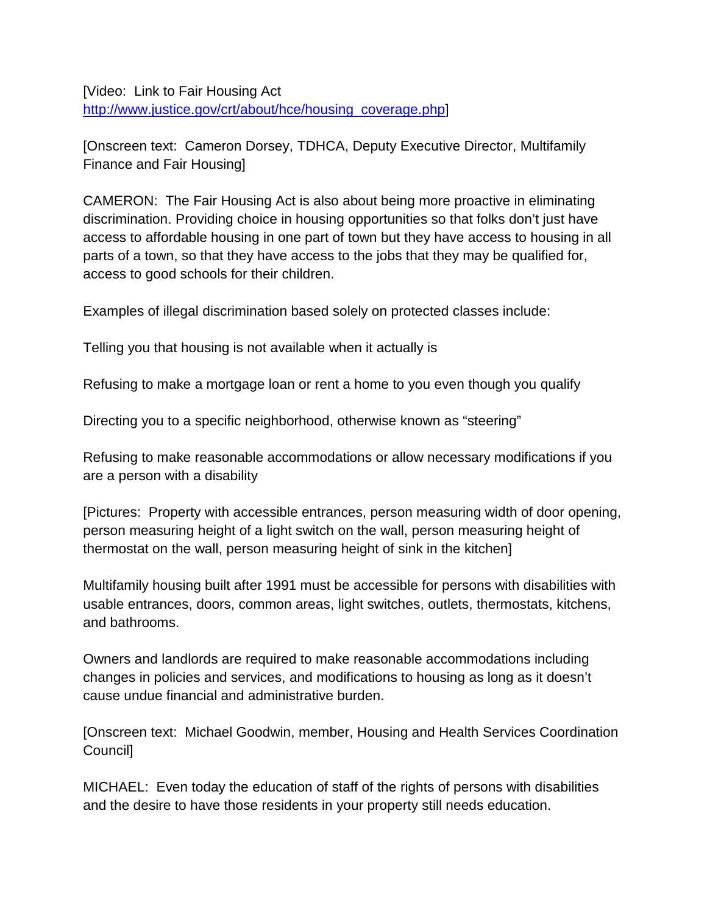[Video: Link to Fair Housing Act [http://www.justice.gov/crt/about/hce/housing\\_coverage.php\]](http://www.justice.gov/crt/about/hce/housing_coverage.php)

[Onscreen text: Cameron Dorsey, TDHCA, Deputy Executive Director, Multifamily Finance and Fair Housing]

CAMERON: The Fair Housing Act is also about being more proactive in eliminating discrimination. Providing choice in housing opportunities so that folks don't just have access to affordable housing in one part of town but they have access to housing in all parts of a town, so that they have access to the jobs that they may be qualified for, access to good schools for their children.

Examples of illegal discrimination based solely on protected classes include:

Telling you that housing is not available when it actually is

Refusing to make a mortgage loan or rent a home to you even though you qualify

Directing you to a specific neighborhood, otherwise known as "steering"

Refusing to make reasonable accommodations or allow necessary modifications if you are a person with a disability

[Pictures: Property with accessible entrances, person measuring width of door opening, person measuring height of a light switch on the wall, person measuring height of thermostat on the wall, person measuring height of sink in the kitchen]

Multifamily housing built after 1991 must be accessible for persons with disabilities with usable entrances, doors, common areas, light switches, outlets, thermostats, kitchens, and bathrooms.

Owners and landlords are required to make reasonable accommodations including changes in policies and services, and modifications to housing as long as it doesn't cause undue financial and administrative burden.

[Onscreen text: Michael Goodwin, member, Housing and Health Services Coordination Council]

MICHAEL: Even today the education of staff of the rights of persons with disabilities and the desire to have those residents in your property still needs education.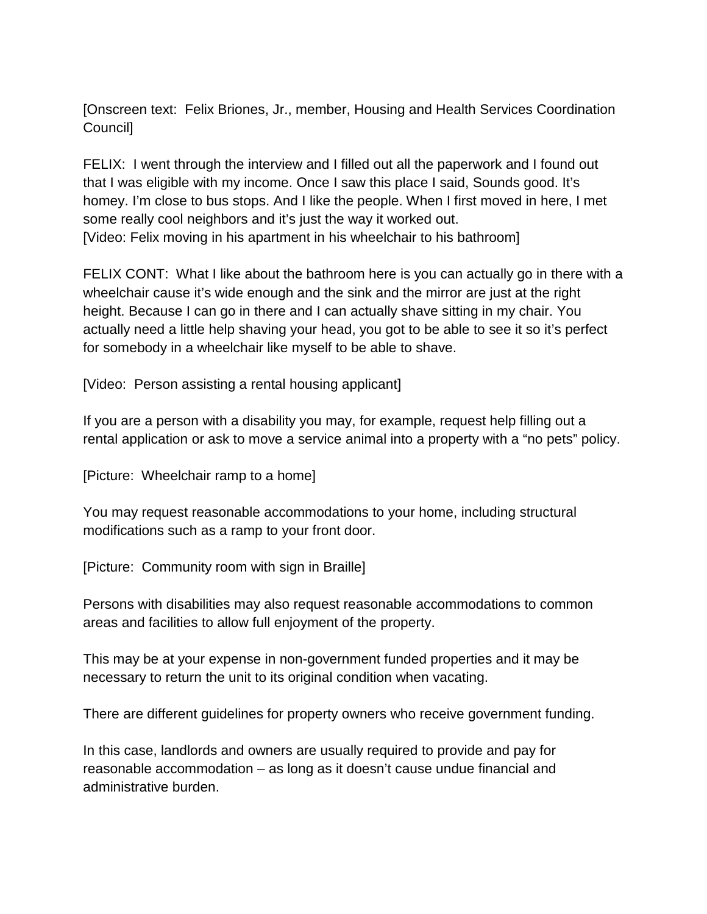[Onscreen text: Felix Briones, Jr., member, Housing and Health Services Coordination Council]

FELIX: I went through the interview and I filled out all the paperwork and I found out that I was eligible with my income. Once I saw this place I said, Sounds good. It's homey. I'm close to bus stops. And I like the people. When I first moved in here, I met some really cool neighbors and it's just the way it worked out. [Video: Felix moving in his apartment in his wheelchair to his bathroom]

FELIX CONT: What I like about the bathroom here is you can actually go in there with a wheelchair cause it's wide enough and the sink and the mirror are just at the right height. Because I can go in there and I can actually shave sitting in my chair. You actually need a little help shaving your head, you got to be able to see it so it's perfect for somebody in a wheelchair like myself to be able to shave.

[Video: Person assisting a rental housing applicant]

If you are a person with a disability you may, for example, request help filling out a rental application or ask to move a service animal into a property with a "no pets" policy.

[Picture: Wheelchair ramp to a home]

You may request reasonable accommodations to your home, including structural modifications such as a ramp to your front door.

[Picture: Community room with sign in Braille]

Persons with disabilities may also request reasonable accommodations to common areas and facilities to allow full enjoyment of the property.

This may be at your expense in non-government funded properties and it may be necessary to return the unit to its original condition when vacating.

There are different guidelines for property owners who receive government funding.

In this case, landlords and owners are usually required to provide and pay for reasonable accommodation – as long as it doesn't cause undue financial and administrative burden.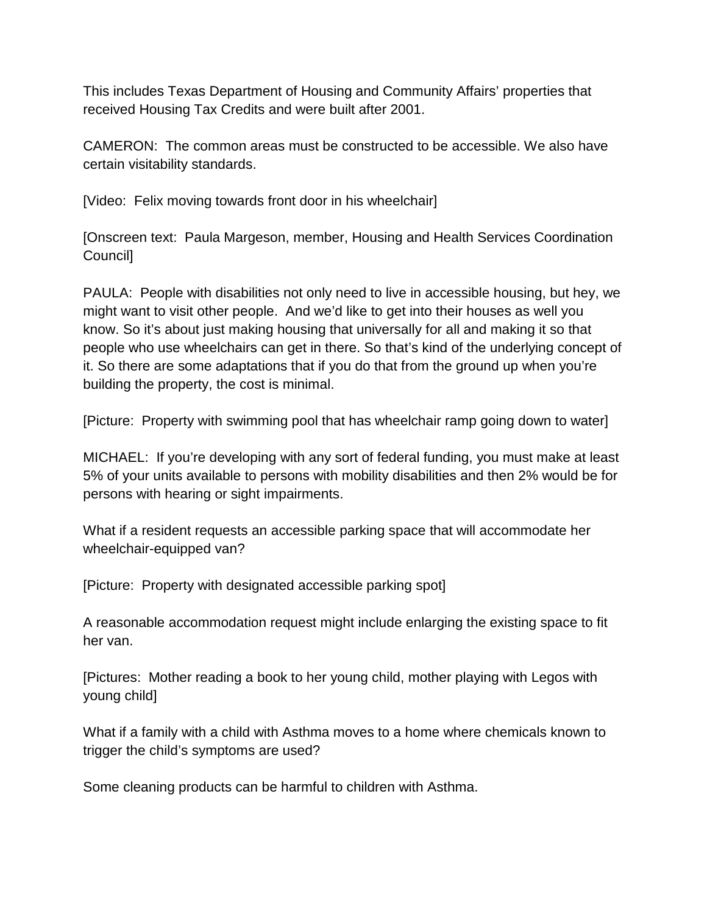This includes Texas Department of Housing and Community Affairs' properties that received Housing Tax Credits and were built after 2001.

CAMERON: The common areas must be constructed to be accessible. We also have certain visitability standards.

[Video: Felix moving towards front door in his wheelchair]

[Onscreen text: Paula Margeson, member, Housing and Health Services Coordination Council]

PAULA: People with disabilities not only need to live in accessible housing, but hey, we might want to visit other people. And we'd like to get into their houses as well you know. So it's about just making housing that universally for all and making it so that people who use wheelchairs can get in there. So that's kind of the underlying concept of it. So there are some adaptations that if you do that from the ground up when you're building the property, the cost is minimal.

[Picture: Property with swimming pool that has wheelchair ramp going down to water]

MICHAEL: If you're developing with any sort of federal funding, you must make at least 5% of your units available to persons with mobility disabilities and then 2% would be for persons with hearing or sight impairments.

What if a resident requests an accessible parking space that will accommodate her wheelchair-equipped van?

[Picture: Property with designated accessible parking spot]

A reasonable accommodation request might include enlarging the existing space to fit her van.

[Pictures: Mother reading a book to her young child, mother playing with Legos with young child]

What if a family with a child with Asthma moves to a home where chemicals known to trigger the child's symptoms are used?

Some cleaning products can be harmful to children with Asthma.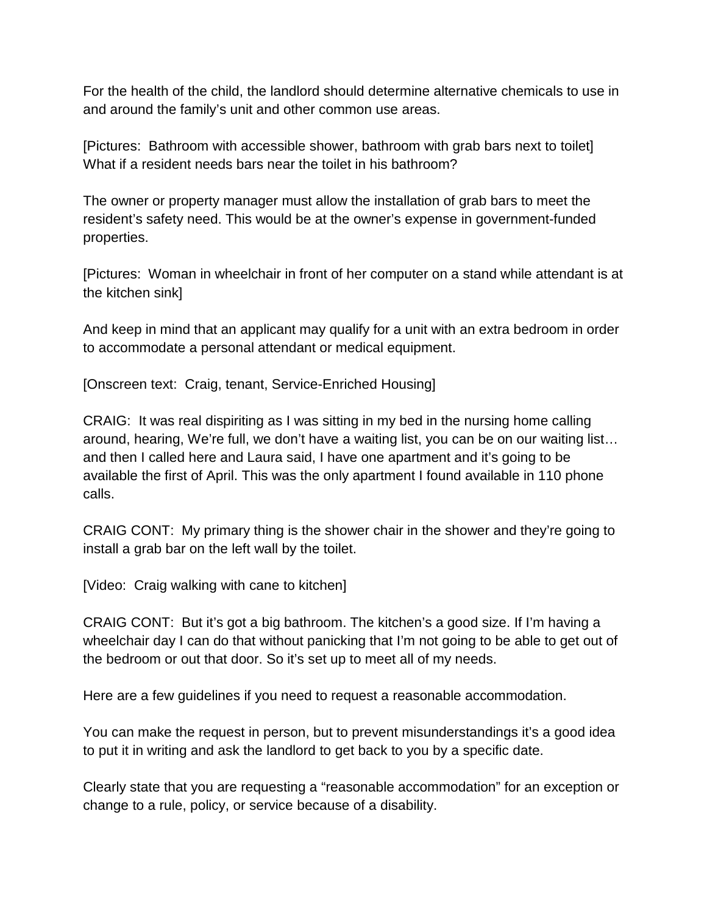For the health of the child, the landlord should determine alternative chemicals to use in and around the family's unit and other common use areas.

[Pictures: Bathroom with accessible shower, bathroom with grab bars next to toilet] What if a resident needs bars near the toilet in his bathroom?

The owner or property manager must allow the installation of grab bars to meet the resident's safety need. This would be at the owner's expense in government-funded properties.

[Pictures: Woman in wheelchair in front of her computer on a stand while attendant is at the kitchen sink]

And keep in mind that an applicant may qualify for a unit with an extra bedroom in order to accommodate a personal attendant or medical equipment.

[Onscreen text: Craig, tenant, Service-Enriched Housing]

CRAIG: It was real dispiriting as I was sitting in my bed in the nursing home calling around, hearing, We're full, we don't have a waiting list, you can be on our waiting list… and then I called here and Laura said, I have one apartment and it's going to be available the first of April. This was the only apartment I found available in 110 phone calls.

CRAIG CONT: My primary thing is the shower chair in the shower and they're going to install a grab bar on the left wall by the toilet.

[Video: Craig walking with cane to kitchen]

CRAIG CONT: But it's got a big bathroom. The kitchen's a good size. If I'm having a wheelchair day I can do that without panicking that I'm not going to be able to get out of the bedroom or out that door. So it's set up to meet all of my needs.

Here are a few guidelines if you need to request a reasonable accommodation.

You can make the request in person, but to prevent misunderstandings it's a good idea to put it in writing and ask the landlord to get back to you by a specific date.

Clearly state that you are requesting a "reasonable accommodation" for an exception or change to a rule, policy, or service because of a disability.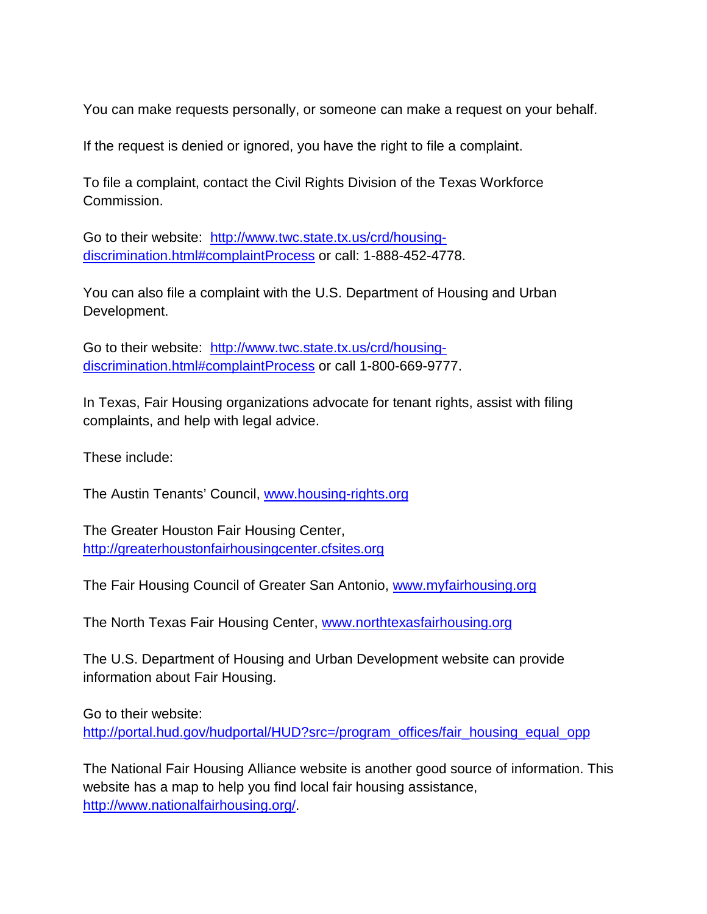You can make requests personally, or someone can make a request on your behalf.

If the request is denied or ignored, you have the right to file a complaint.

To file a complaint, contact the Civil Rights Division of the Texas Workforce Commission.

Go to their website: [http://www.twc.state.tx.us/crd/housing](http://www.twc.state.tx.us/crd/housing-discrimination.html%23complaintProcess)[discrimination.html#complaintProcess](http://www.twc.state.tx.us/crd/housing-discrimination.html%23complaintProcess) or call: 1-888-452-4778.

You can also file a complaint with the U.S. Department of Housing and Urban Development.

Go to their website: [http://www.twc.state.tx.us/crd/housing](http://www.twc.state.tx.us/crd/housing-discrimination.html%23complaintProcess)[discrimination.html#complaintProcess](http://www.twc.state.tx.us/crd/housing-discrimination.html%23complaintProcess) or call 1-800-669-9777.

In Texas, Fair Housing organizations advocate for tenant rights, assist with filing complaints, and help with legal advice.

These include:

The Austin Tenants' Council, [www.housing-rights.org](http://www.housing-rights.org/)

The Greater Houston Fair Housing Center, [http://greaterhoustonfairhousingcenter.cfsites.org](http://greaterhoustonfairhousingcenter.cfsites.org/)

The Fair Housing Council of Greater San Antonio, [www.myfairhousing.org](http://www.myfairhousing.org/)

The North Texas Fair Housing Center, [www.northtexasfairhousing.org](http://www.northtexasfairhousing.org/)

The U.S. Department of Housing and Urban Development website can provide information about Fair Housing.

Go to their website:

[http://portal.hud.gov/hudportal/HUD?src=/program\\_offices/fair\\_housing\\_equal\\_opp](http://portal.hud.gov/hudportal/HUD?src=/program_offices/fair_housing_equal_opp)

The National Fair Housing Alliance website is another good source of information. This website has a map to help you find local fair housing assistance, [http://www.nationalfairhousing.org/.](http://www.nationalfairhousing.org/)